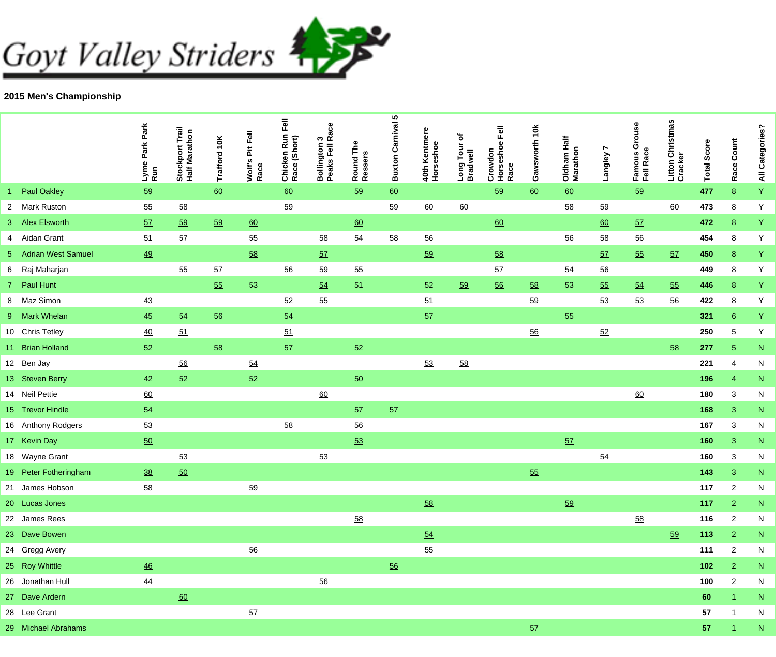## Goyt Valley Striders



## **2015 Men's Championship**

|                       | Lyme Park Park<br>Run | Trail<br>athon<br>ゼ<br>٥<br>Stockpoi<br>Half Mara | Trafford 10K | Wolf's Pit Fell<br>Race | Fell<br>Chicken Run I<br>Race (Short) | ace<br>ຕ <u>ແັ</u><br><b>Bollington:</b><br>Peaks Fell | Round The<br>Ressers | <b>Buxton Carnival 5</b> | 40th Kentmere<br>Horseshoe | ð<br>Long Tour<br>Bradwell | Crowdon<br>Horseshoe Fell<br>Race | 10K<br>Gawsworth | Oldham Half<br>Marathon | Langley 7 | Famous Grouse<br>Fell Race | Christmas<br>Litton Ch<br>Cracker | <b>Total Score</b> | Race Count           | All Categories? |
|-----------------------|-----------------------|---------------------------------------------------|--------------|-------------------------|---------------------------------------|--------------------------------------------------------|----------------------|--------------------------|----------------------------|----------------------------|-----------------------------------|------------------|-------------------------|-----------|----------------------------|-----------------------------------|--------------------|----------------------|-----------------|
| <b>Paul Oakley</b>    | 59                    |                                                   | 60           |                         | 60                                    |                                                        | 59                   | $\underline{60}$         |                            |                            | 59                                | 60               | 60                      |           | 59                         |                                   | 477                | 8                    | Y               |
| 2 Mark Ruston         | 55                    | 58                                                |              |                         | 59                                    |                                                        |                      | 59                       | 60                         | 60                         |                                   |                  | 58                      | 59        |                            | 60                                | 473                | 8                    | Y               |
| 3 Alex Elsworth       | 5Z                    | 59                                                | 59           | $\underline{60}$        |                                       |                                                        | 60                   |                          |                            |                            | 60                                |                  |                         | 60        | 57                         |                                   | 472                | 8                    | Y               |
| 4 Aidan Grant         | 51                    | 57                                                |              | 55                      |                                       | 58                                                     | 54                   | 58                       | $\underline{56}$           |                            |                                   |                  | 56                      | 58        | 56                         |                                   | 454                | 8                    | Y               |
| 5 Adrian West Samuel  | 49                    |                                                   |              | 58                      |                                       | 57                                                     |                      |                          | 59                         |                            | 58                                |                  |                         | 57        | 55                         | 57                                | 450                | 8 <sup>°</sup>       | Y               |
| 6 Raj Maharjan        |                       | 55                                                | 57           |                         | 56                                    | 59                                                     | 55                   |                          |                            |                            | 57                                |                  | 54                      | 56        |                            |                                   | 449                | 8                    | Y               |
| 7 Paul Hunt           |                       |                                                   | 55           | 53                      |                                       | 54                                                     | 51                   |                          | 52                         | 59                         | 56                                | 58               | 53                      | 55        | 54                         | 55                                | 446                | 8 <sub>o</sub>       | Y               |
| 8 Maz Simon           | 43                    |                                                   |              |                         | 52                                    | 55                                                     |                      |                          | 51                         |                            |                                   | 59               |                         | 53        | 53                         | 56                                | 422                | 8                    | Y               |
| 9 Mark Whelan         | 45                    | 54                                                | 56           |                         | 54                                    |                                                        |                      |                          | 57                         |                            |                                   |                  | 55                      |           |                            |                                   | 321                | 6 <sup>1</sup>       | Y               |
| 10 Chris Tetley       | 40                    | 51                                                |              |                         | 51                                    |                                                        |                      |                          |                            |                            |                                   | 56               |                         | 52        |                            |                                   | 250                | 5                    | Y               |
| 11 Brian Holland      | 52                    |                                                   | 58           |                         | 57                                    |                                                        | 52                   |                          |                            |                            |                                   |                  |                         |           |                            | 58                                | 277                | 5 <sub>5</sub>       | ${\bf N}$       |
| 12 Ben Jay            |                       | 56                                                |              | 54                      |                                       |                                                        |                      |                          | 53                         | 58                         |                                   |                  |                         |           |                            |                                   | 221                | 4                    | $\mathsf{N}$    |
| 13 Steven Berry       | 42                    | 52                                                |              | 52                      |                                       |                                                        | 50                   |                          |                            |                            |                                   |                  |                         |           |                            |                                   | 196                | $\overline{4}$       | ${\bf N}$       |
| 14 Neil Pettie        | 60                    |                                                   |              |                         |                                       | 60                                                     |                      |                          |                            |                            |                                   |                  |                         |           | 60                         |                                   | 180                | $\sqrt{3}$           | ${\sf N}$       |
| 15 Trevor Hindle      | 54                    |                                                   |              |                         |                                       |                                                        | 57                   | 57                       |                            |                            |                                   |                  |                         |           |                            |                                   | 168                | 3                    | ${\bf N}$       |
| 16 Anthony Rodgers    | 53                    |                                                   |              |                         | 58                                    |                                                        | 56                   |                          |                            |                            |                                   |                  |                         |           |                            |                                   | 167                | 3                    | N               |
| 17 Kevin Day          | 50                    |                                                   |              |                         |                                       |                                                        | 53                   |                          |                            |                            |                                   |                  | 57                      |           |                            |                                   | 160                | 3                    | ${\bf N}$       |
| 18 Wayne Grant        |                       | 53                                                |              |                         |                                       | 53                                                     |                      |                          |                            |                            |                                   |                  |                         | 54        |                            |                                   | 160                | 3                    | ${\sf N}$       |
| 19 Peter Fotheringham | 38                    | 50                                                |              |                         |                                       |                                                        |                      |                          |                            |                            |                                   | 55               |                         |           |                            |                                   | 143                | 3                    | $\mathsf{N}$    |
| 21 James Hobson       | 58                    |                                                   |              | 59                      |                                       |                                                        |                      |                          |                            |                            |                                   |                  |                         |           |                            |                                   | 117                | $\overline{c}$       | N               |
| 20 Lucas Jones        |                       |                                                   |              |                         |                                       |                                                        |                      |                          | 58                         |                            |                                   |                  | 59                      |           |                            |                                   | 117                | $\overline{2}$       | ${\bf N}$       |
| 22 James Rees         |                       |                                                   |              |                         |                                       |                                                        | 58                   |                          |                            |                            |                                   |                  |                         |           | 58                         |                                   | 116                | $\overline{2}$       | N               |
| 23 Dave Bowen         |                       |                                                   |              |                         |                                       |                                                        |                      |                          | 54                         |                            |                                   |                  |                         |           |                            | 59                                | 113                | 2 <sup>1</sup>       | ${\sf N}$       |
| 24 Gregg Avery        |                       |                                                   |              | 56                      |                                       |                                                        |                      |                          | 55                         |                            |                                   |                  |                         |           |                            |                                   | 111                | $\overline{c}$       | N               |
| 25 Roy Whittle        | $\overline{46}$       |                                                   |              |                         |                                       |                                                        |                      | 56                       |                            |                            |                                   |                  |                         |           |                            |                                   | $102$              | 2 <sup>1</sup>       | $\mathsf{N}$    |
| 26 Jonathan Hull      | $\overline{44}$       |                                                   |              |                         |                                       | 56                                                     |                      |                          |                            |                            |                                   |                  |                         |           |                            |                                   | 100                | $\overline{c}$       | N               |
| 27 Dave Ardern        |                       | 60                                                |              |                         |                                       |                                                        |                      |                          |                            |                            |                                   |                  |                         |           |                            |                                   | 60                 | $\mathbf{1}$         | ${\bf N}$       |
| 28 Lee Grant          |                       |                                                   |              | 57                      |                                       |                                                        |                      |                          |                            |                            |                                   |                  |                         |           |                            |                                   | 57                 | -1                   | N               |
| 29 Michael Abrahams   |                       |                                                   |              |                         |                                       |                                                        |                      |                          |                            |                            |                                   | 57               |                         |           |                            |                                   | 57                 | $\blacktriangleleft$ | ${\sf N}$       |